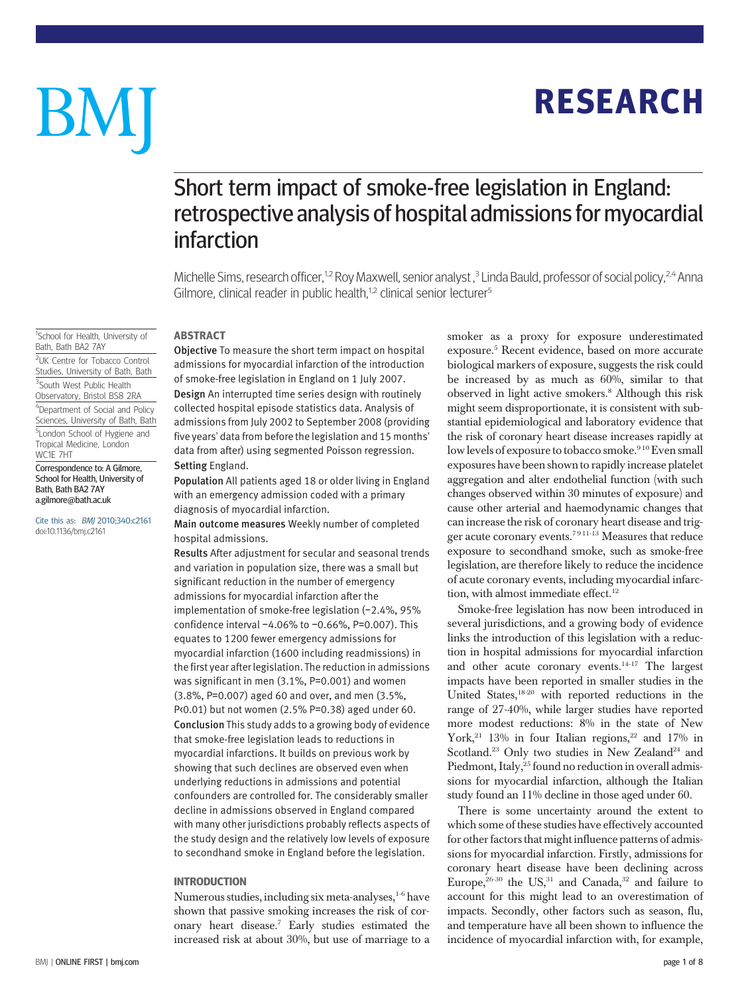# **RESEARCH** RESEARCH

# BM

## Short term impact of smoke-free legislation in England: retrospective analysis of hospital admissions for myocardial infarction

Michelle Sims, research officer,<sup>1,2</sup> Roy Maxwell, senior analyst ,<sup>3</sup> Linda Bauld, professor of social policy,<sup>2,4</sup> Anna Gilmore, clinical reader in public health, $1,2$  clinical senior lecturer<sup>5</sup>

#### <sup>1</sup>School for Health, University of Bath, Bath BA2 7AY <sup>2</sup>UK Centre for Tobacco Control Studies, University of Bath, Bath <sup>3</sup>South West Public Health Observatory, Bristol BS8 2RA 4 Department of Social and Policy Sciences, University of Bath, Bath <sup>5</sup> London School of Hygiene and Tropical Medicine, London WC1E 7HT Correspondence to: A Gilmore,

School for Health, University of Bath, Bath BA2 7AY a.gilmore@bath.ac.uk

Cite this as: BMJ 2010;340:c2161 doi:10.1136/bmj.c2161

Objective To measure the short term impact on hospital admissions for myocardial infarction of the introduction of smoke-free legislation in England on 1 July 2007. Design An interrupted time series design with routinely collected hospital episode statistics data. Analysis of admissions from July 2002 to September 2008 (providing five years' data from before the legislation and 15 months'

**ABSTRACT** 

Setting England. Population All patients aged 18 or older living in England with an emergency admission coded with a primary diagnosis of myocardial infarction.

data from after) using segmented Poisson regression.

Main outcome measures Weekly number of completed hospital admissions.

Results After adjustment for secular and seasonal trends and variation in population size, there was a small but significant reduction in the number of emergency admissions for myocardial infarction after the implementation of smoke-free legislation (−2.4%, 95% confidence interval −4.06% to −0.66%, P=0.007). This equates to 1200 fewer emergency admissions for myocardial infarction (1600 including readmissions) in the first year after legislation. The reduction in admissions was significant in men (3.1%, P=0.001) and women (3.8%, P=0.007) aged 60 and over, and men (3.5%, P<0.01) but not women (2.5% P=0.38) aged under 60. Conclusion This study adds to a growing body of evidence that smoke-free legislation leads to reductions in myocardial infarctions. It builds on previous work by showing that such declines are observed even when underlying reductions in admissions and potential confounders are controlled for. The considerably smaller decline in admissions observed in England compared with many other jurisdictions probably reflects aspects of the study design and the relatively low levels of exposure to secondhand smoke in England before the legislation.

## **INTRODUCTION**

numerous studies, including six meta-analyses, <sup>1-6</sup> have shown that passive smoking increases the risk of coronary heart disease.7 Early studies estimated the increased risk at about 30%, but use of marriage to a smoker as a proxy for exposure underestimated exposure.5 Recent evidence, based on more accurate biological markers of exposure, suggests the risk could be increased by as much as 60%, similar to that observed in light active smokers.8 Although this risk might seem disproportionate, it is consistent with substantial epidemiological and laboratory evidence that the risk of coronary heart disease increases rapidly at low levels of exposure to tobacco smoke.<sup>910</sup> Even small exposures have been shown to rapidly increase platelet aggregation and alter endothelial function (with such changes observed within 30 minutes of exposure) and cause other arterial and haemodynamic changes that can increase the risk of coronary heart disease and trigger acute coronary events.<sup>7911-13</sup> Measures that reduce exposure to secondhand smoke, such as smoke-free legislation, are therefore likely to reduce the incidence of acute coronary events, including myocardial infarction, with almost immediate effect.<sup>12</sup>

Smoke-free legislation has now been introduced in several jurisdictions, and a growing body of evidence links the introduction of this legislation with a reduction in hospital admissions for myocardial infarction and other acute coronary events.14-17 The largest impacts have been reported in smaller studies in the United States,18-20 with reported reductions in the range of 27-40%, while larger studies have reported more modest reductions: 8% in the state of New York,<sup>21</sup> 13% in four Italian regions,<sup>22</sup> and 17% in Scotland.<sup>23</sup> Only two studies in New Zealand<sup>24</sup> and Piedmont, Italy, <sup>25</sup> found no reduction in overall admissions for myocardial infarction, although the Italian study found an 11% decline in those aged under 60.

There is some uncertainty around the extent to which some of these studies have effectively accounted for other factors that might influence patterns of admissions for myocardial infarction. Firstly, admissions for coronary heart disease have been declining across Europe,  $26-30$  the US,  $31$  and Canada,  $32$  and failure to account for this might lead to an overestimation of impacts. Secondly, other factors such as season, flu, and temperature have all been shown to influence the incidence of myocardial infarction with, for example,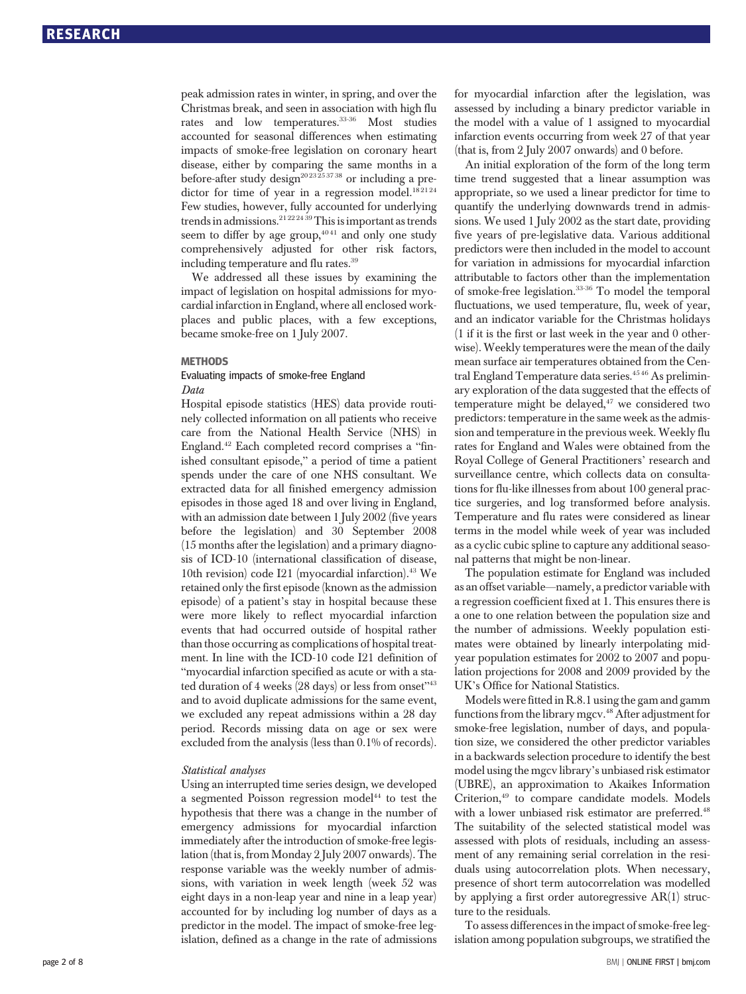peak admission rates in winter, in spring, and over the Christmas break, and seen in association with high flu rates and low temperatures.<sup>33-36</sup> Most studies accounted for seasonal differences when estimating impacts of smoke-free legislation on coronary heart disease, either by comparing the same months in a before-after study design<sup>2023253738</sup> or including a predictor for time of year in a regression model.<sup>182124</sup> Few studies, however, fully accounted for underlying trends in admissions.<sup>21222439</sup>This is important as trends seem to differ by age group,<sup>4041</sup> and only one study comprehensively adjusted for other risk factors, including temperature and flu rates.39

We addressed all these issues by examining the impact of legislation on hospital admissions for myocardial infarction in England, where all enclosed workplaces and public places, with a few exceptions, became smoke-free on 1 July 2007.

## METHODS Evaluating impacts of smoke-free England Data

Hospital episode statistics (HES) data provide routinely collected information on all patients who receive care from the National Health Service (NHS) in England.42 Each completed record comprises a "finished consultant episode," a period of time a patient spends under the care of one NHS consultant. We extracted data for all finished emergency admission episodes in those aged 18 and over living in England, with an admission date between 1 July 2002 (five years before the legislation) and 30 September 2008 (15 months after the legislation) and a primary diagnosis of ICD-10 (international classification of disease, 10th revision) code I21 (myocardial infarction).<sup>43</sup> We retained only the first episode (known as the admission episode) of a patient's stay in hospital because these were more likely to reflect myocardial infarction events that had occurred outside of hospital rather than those occurring as complications of hospital treatment. In line with the ICD-10 code I21 definition of "myocardial infarction specified as acute or with a stated duration of 4 weeks (28 days) or less from onset"<sup>43</sup> and to avoid duplicate admissions for the same event, we excluded any repeat admissions within a 28 day period. Records missing data on age or sex were excluded from the analysis (less than 0.1% of records).

#### Statistical analyses

Using an interrupted time series design, we developed a segmented Poisson regression model<sup>44</sup> to test the hypothesis that there was a change in the number of emergency admissions for myocardial infarction immediately after the introduction of smoke-free legislation (that is, from Monday 2 July 2007 onwards). The response variable was the weekly number of admissions, with variation in week length (week 52 was eight days in a non-leap year and nine in a leap year) accounted for by including log number of days as a predictor in the model. The impact of smoke-free legislation, defined as a change in the rate of admissions for myocardial infarction after the legislation, was assessed by including a binary predictor variable in the model with a value of 1 assigned to myocardial infarction events occurring from week 27 of that year (that is, from 2 July 2007 onwards) and 0 before.

An initial exploration of the form of the long term time trend suggested that a linear assumption was appropriate, so we used a linear predictor for time to quantify the underlying downwards trend in admissions. We used 1 July 2002 as the start date, providing five years of pre-legislative data. Various additional predictors were then included in the model to account for variation in admissions for myocardial infarction attributable to factors other than the implementation of smoke-free legislation.33-36 To model the temporal fluctuations, we used temperature, flu, week of year, and an indicator variable for the Christmas holidays (1 if it is the first or last week in the year and 0 otherwise). Weekly temperatures were the mean of the daily mean surface air temperatures obtained from the Central England Temperature data series.<sup>4546</sup> As preliminary exploration of the data suggested that the effects of temperature might be delayed,<sup>47</sup> we considered two predictors: temperature in the same week as the admission and temperature in the previous week. Weekly flu rates for England and Wales were obtained from the Royal College of General Practitioners' research and surveillance centre, which collects data on consultations for flu-like illnesses from about 100 general practice surgeries, and log transformed before analysis. Temperature and flu rates were considered as linear terms in the model while week of year was included as a cyclic cubic spline to capture any additional seasonal patterns that might be non-linear.

The population estimate for England was included as an offset variable—namely, a predictor variable with a regression coefficient fixed at 1. This ensures there is a one to one relation between the population size and the number of admissions. Weekly population estimates were obtained by linearly interpolating midyear population estimates for 2002 to 2007 and population projections for 2008 and 2009 provided by the UK's Office for National Statistics.

Models were fitted in R.8.1 using the gam and gamm functions from the library mgcv.<sup>48</sup> After adjustment for smoke-free legislation, number of days, and population size, we considered the other predictor variables in a backwards selection procedure to identify the best model using the mgcv library's unbiased risk estimator (UBRE), an approximation to Akaikes Information Criterion,49 to compare candidate models. Models with a lower unbiased risk estimator are preferred.<sup>48</sup> The suitability of the selected statistical model was assessed with plots of residuals, including an assessment of any remaining serial correlation in the residuals using autocorrelation plots. When necessary, presence of short term autocorrelation was modelled by applying a first order autoregressive AR(1) structure to the residuals.

To assess differences in the impact of smoke-free legislation among population subgroups, we stratified the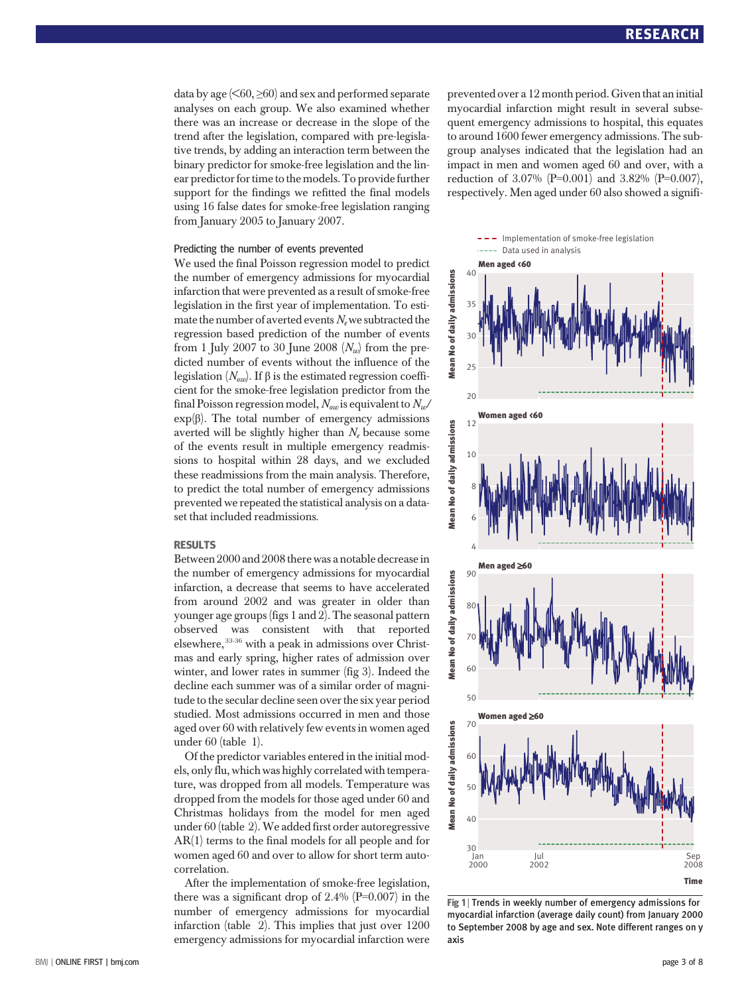data by age  $(560, \geq 60)$  and sex and performed separate analyses on each group. We also examined whether there was an increase or decrease in the slope of the trend after the legislation, compared with pre-legislative trends, by adding an interaction term between the binary predictor for smoke-free legislation and the linear predictor for time to the models. To provide further support for the findings we refitted the final models using 16 false dates for smoke-free legislation ranging from January 2005 to January 2007.

#### Predicting the number of events prevented

We used the final Poisson regression model to predict the number of emergency admissions for myocardial infarction that were prevented as a result of smoke-free legislation in the first year of implementation. To estimate the number of averted events  $N_e$  we subtracted the regression based prediction of the number of events from 1 July 2007 to 30 June 2008  $(N_w)$  from the predicted number of events without the influence of the legislation  $(N_{\text{ow}})$ . If β is the estimated regression coefficient for the smoke-free legislation predictor from the final Poisson regression model,  $N_{ov}$  is equivalent to  $N_{av}$  $\exp(\beta)$ . The total number of emergency admissions averted will be slightly higher than  $N_e$  because some of the events result in multiple emergency readmissions to hospital within 28 days, and we excluded these readmissions from the main analysis. Therefore, to predict the total number of emergency admissions prevented we repeated the statistical analysis on a dataset that included readmissions.

#### **RESULTS**

Between 2000 and 2008 there was a notable decrease in the number of emergency admissions for myocardial infarction, a decrease that seems to have accelerated from around 2002 and was greater in older than younger age groups (figs 1 and 2). The seasonal pattern observed was consistent with that reported elsewhere, 33-36 with a peak in admissions over Christmas and early spring, higher rates of admission over winter, and lower rates in summer (fig 3). Indeed the decline each summer was of a similar order of magnitude to the secular decline seen over the six year period studied. Most admissions occurred in men and those aged over 60 with relatively few events in women aged under 60 (table 1).

Of the predictor variables entered in the initial models, only flu, which was highly correlated with temperature, was dropped from all models. Temperature was dropped from the models for those aged under 60 and Christmas holidays from the model for men aged under 60 (table 2).We added first order autoregressive AR(1) terms to the final models for all people and for women aged 60 and over to allow for short term autocorrelation.

After the implementation of smoke-free legislation, there was a significant drop of  $2.4\%$  (P=0.007) in the number of emergency admissions for myocardial infarction (table 2). This implies that just over 1200 emergency admissions for myocardial infarction were prevented over a 12 month period. Given that an initial myocardial infarction might result in several subsequent emergency admissions to hospital, this equates to around 1600 fewer emergency admissions. The subgroup analyses indicated that the legislation had an impact in men and women aged 60 and over, with a reduction of 3.07% (P=0.001) and 3.82% (P=0.007), respectively. Men aged under 60 also showed a signifi-



Fig 1 | Trends in weekly number of emergency admissions for myocardial infarction (average daily count) from January 2000 to September 2008 by age and sex. Note different ranges on y axis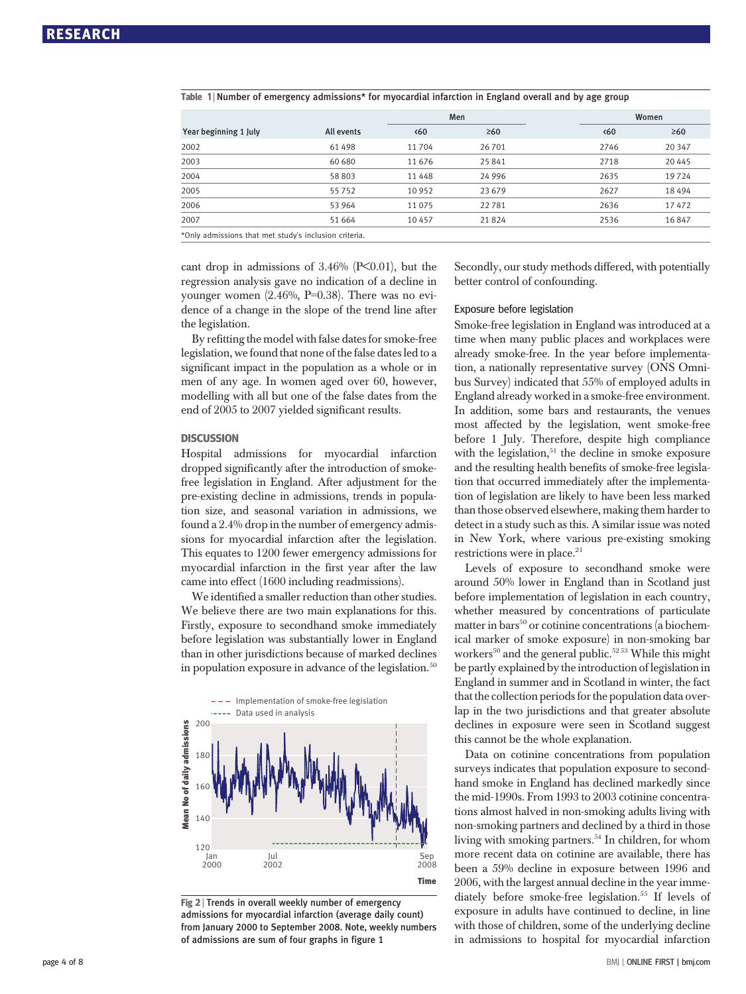|                                                       |            | Men                  |           |              | Women     |  |  |  |
|-------------------------------------------------------|------------|----------------------|-----------|--------------|-----------|--|--|--|
| Year beginning 1 July                                 | All events | $\langle 60 \rangle$ | $\geq 60$ | $\langle 60$ | $\geq 60$ |  |  |  |
| 2002                                                  | 61498      | 11 704               | 26 701    | 2746         | 20 347    |  |  |  |
| 2003                                                  | 60 680     | 11 676               | 25 841    | 2718         | 20445     |  |  |  |
| 2004                                                  | 58 803     | 11 4 4 8             | 24 9 96   | 2635         | 19724     |  |  |  |
| 2005                                                  | 55752      | 10 9 52              | 23 679    | 2627         | 18494     |  |  |  |
| 2006                                                  | 53 964     | 11 0 75              | 22781     | 2636         | 17472     |  |  |  |
| 2007                                                  | 51 664     | 10457                | 21824     | 2536         | 16847     |  |  |  |
| *Only admissions that met study's inclusion criteria. |            |                      |           |              |           |  |  |  |

Table 1 <sup>|</sup> Number of emergency admissions\* for myocardial infarction in England overall and by age group

cant drop in admissions of  $3.46\%$  (P<0.01), but the regression analysis gave no indication of a decline in younger women (2.46%, P=0.38). There was no evidence of a change in the slope of the trend line after the legislation.

By refitting the model with false dates for smoke-free legislation, we found that none of the false dates led to a significant impact in the population as a whole or in men of any age. In women aged over 60, however, modelling with all but one of the false dates from the end of 2005 to 2007 yielded significant results.

### **DISCUSSION**

Hospital admissions for myocardial infarction dropped significantly after the introduction of smokefree legislation in England. After adjustment for the pre-existing decline in admissions, trends in population size, and seasonal variation in admissions, we found a 2.4% drop in the number of emergency admissions for myocardial infarction after the legislation. This equates to 1200 fewer emergency admissions for myocardial infarction in the first year after the law came into effect (1600 including readmissions).

We identified a smaller reduction than other studies. We believe there are two main explanations for this. Firstly, exposure to secondhand smoke immediately before legislation was substantially lower in England than in other jurisdictions because of marked declines in population exposure in advance of the legislation. $50$ 



Fig 2 <sup>|</sup> Trends in overall weekly number of emergency admissions for myocardial infarction (average daily count) from January 2000 to September 2008. Note, weekly numbers of admissions are sum of four graphs in figure 1

Secondly, our study methods differed, with potentially better control of confounding.

#### Exposure before legislation

Smoke-free legislation in England was introduced at a time when many public places and workplaces were already smoke-free. In the year before implementation, a nationally representative survey (ONS Omnibus Survey) indicated that 55% of employed adults in England already worked in a smoke-free environment. In addition, some bars and restaurants, the venues most affected by the legislation, went smoke-free before 1 July. Therefore, despite high compliance with the legislation, $51$  the decline in smoke exposure and the resulting health benefits of smoke-free legislation that occurred immediately after the implementation of legislation are likely to have been less marked than those observed elsewhere, making them harder to detect in a study such as this. A similar issue was noted in New York, where various pre-existing smoking restrictions were in place.<sup>21</sup>

Levels of exposure to secondhand smoke were around 50% lower in England than in Scotland just before implementation of legislation in each country, whether measured by concentrations of particulate matter in bars<sup>50</sup> or cotinine concentrations (a biochemical marker of smoke exposure) in non-smoking bar workers<sup>50</sup> and the general public.<sup>5253</sup> While this might be partly explained by the introduction of legislation in England in summer and in Scotland in winter, the fact that the collection periods for the population data overlap in the two jurisdictions and that greater absolute declines in exposure were seen in Scotland suggest this cannot be the whole explanation.

Data on cotinine concentrations from population surveys indicates that population exposure to secondhand smoke in England has declined markedly since the mid-1990s. From 1993 to 2003 cotinine concentrations almost halved in non-smoking adults living with non-smoking partners and declined by a third in those living with smoking partners.<sup>54</sup> In children, for whom more recent data on cotinine are available, there has been a 59% decline in exposure between 1996 and 2006, with the largest annual decline in the year immediately before smoke-free legislation.<sup>55</sup> If levels of exposure in adults have continued to decline, in line with those of children, some of the underlying decline in admissions to hospital for myocardial infarction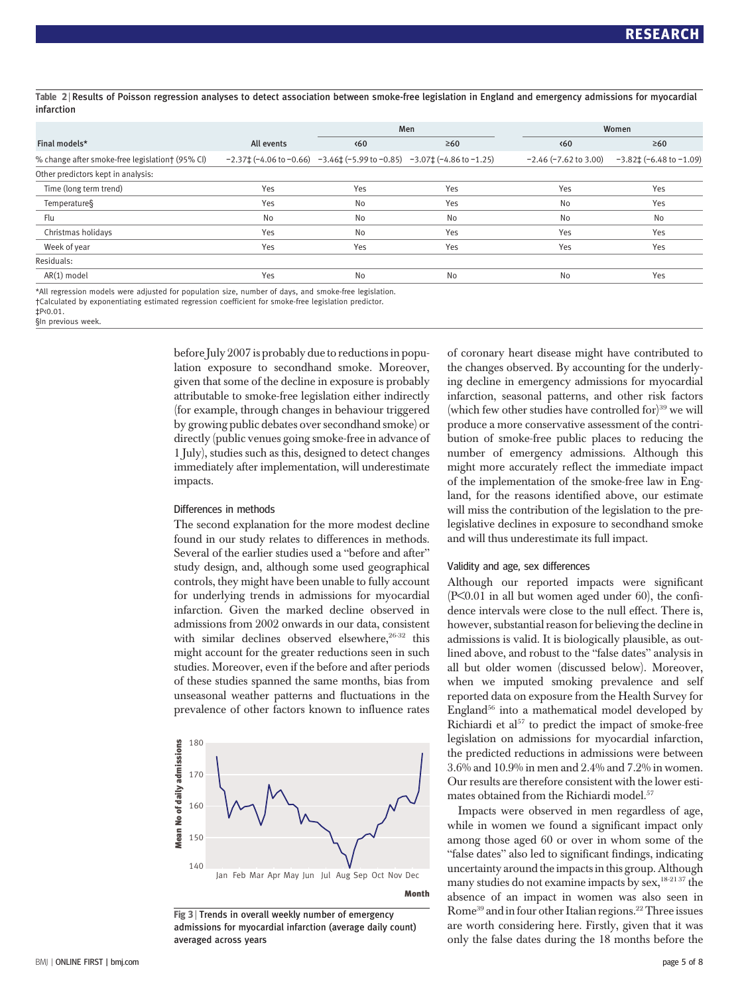Table 2 <sup>|</sup> Results of Poisson regression analyses to detect association between smoke-free legislation in England and emergency admissions for myocardial infarction

|                                                                                                      |            | Men                                                                                                         |           | Women                      |                                       |  |  |  |
|------------------------------------------------------------------------------------------------------|------------|-------------------------------------------------------------------------------------------------------------|-----------|----------------------------|---------------------------------------|--|--|--|
| Final models*                                                                                        | All events | $\langle 60 \rangle$                                                                                        | $\geq 60$ | $\langle 60$               | $\geq 60$                             |  |  |  |
| % change after smoke-free legislation† (95% CI)                                                      |            | $-2.37\pm(-4.06 \text{ to } -0.66)$ $-3.46\pm(-5.99 \text{ to } -0.85)$ $-3.07\pm(-4.86 \text{ to } -1.25)$ |           | $-2.46$ ( $-7.62$ to 3.00) | $-3.82 \pm (-6.48 \text{ to } -1.09)$ |  |  |  |
| Other predictors kept in analysis:                                                                   |            |                                                                                                             |           |                            |                                       |  |  |  |
| Time (long term trend)                                                                               | Yes        | Yes                                                                                                         | Yes       | Yes                        | Yes                                   |  |  |  |
| Temperature§                                                                                         | Yes        | No                                                                                                          | Yes       | No                         | Yes                                   |  |  |  |
| Flu                                                                                                  | No         | No                                                                                                          | No        | No                         | No                                    |  |  |  |
| Christmas holidays                                                                                   | Yes        | No                                                                                                          | Yes       | Yes                        | Yes                                   |  |  |  |
| Week of year                                                                                         | Yes        | Yes                                                                                                         | Yes       | Yes                        | Yes                                   |  |  |  |
| Residuals:                                                                                           |            |                                                                                                             |           |                            |                                       |  |  |  |
| AR(1) model                                                                                          | Yes        | No                                                                                                          | No        | No                         | Yes                                   |  |  |  |
| *All regression models were adjusted for population size, number of days, and smoke-free legislation |            |                                                                                                             |           |                            |                                       |  |  |  |

\*All regression models were adjusted for population size, number of days, and smoke-free legislation. †Calculated by exponentiating estimated regression coefficient for smoke-free legislation predictor.

‡P<0.01.

§In previous week.

before July 2007 is probably due to reductions in population exposure to secondhand smoke. Moreover, given that some of the decline in exposure is probably attributable to smoke-free legislation either indirectly (for example, through changes in behaviour triggered by growing public debates over secondhand smoke) or directly (public venues going smoke-free in advance of 1 July), studies such as this, designed to detect changes immediately after implementation, will underestimate impacts.

#### Differences in methods

The second explanation for the more modest decline found in our study relates to differences in methods. Several of the earlier studies used a "before and after" study design, and, although some used geographical controls, they might have been unable to fully account for underlying trends in admissions for myocardial infarction. Given the marked decline observed in admissions from 2002 onwards in our data, consistent with similar declines observed elsewhere,  $26-32$  this might account for the greater reductions seen in such studies. Moreover, even if the before and after periods of these studies spanned the same months, bias from unseasonal weather patterns and fluctuations in the prevalence of other factors known to influence rates



Fig 3 <sup>|</sup> Trends in overall weekly number of emergency admissions for myocardial infarction (average daily count) averaged across years

of coronary heart disease might have contributed to the changes observed. By accounting for the underlying decline in emergency admissions for myocardial infarction, seasonal patterns, and other risk factors (which few other studies have controlled for)<sup>39</sup> we will produce a more conservative assessment of the contribution of smoke-free public places to reducing the number of emergency admissions. Although this might more accurately reflect the immediate impact of the implementation of the smoke-free law in England, for the reasons identified above, our estimate will miss the contribution of the legislation to the prelegislative declines in exposure to secondhand smoke and will thus underestimate its full impact.

#### Validity and age, sex differences

Although our reported impacts were significant  $(P<0.01$  in all but women aged under 60), the confidence intervals were close to the null effect. There is, however, substantial reason for believing the decline in admissions is valid. It is biologically plausible, as outlined above, and robust to the "false dates" analysis in all but older women (discussed below). Moreover, when we imputed smoking prevalence and self reported data on exposure from the Health Survey for England $56$  into a mathematical model developed by Richiardi et  $a^{157}$  to predict the impact of smoke-free legislation on admissions for myocardial infarction, the predicted reductions in admissions were between 3.6% and 10.9% in men and 2.4% and 7.2% in women. Our results are therefore consistent with the lower estimates obtained from the Richiardi model.<sup>57</sup>

Impacts were observed in men regardless of age, while in women we found a significant impact only among those aged 60 or over in whom some of the "false dates" also led to significant findings, indicating uncertainty around the impacts in this group. Although many studies do not examine impacts by sex, $18-2137$  the absence of an impact in women was also seen in Rome<sup>39</sup> and in four other Italian regions.<sup>22</sup> Three issues are worth considering here. Firstly, given that it was only the false dates during the 18 months before the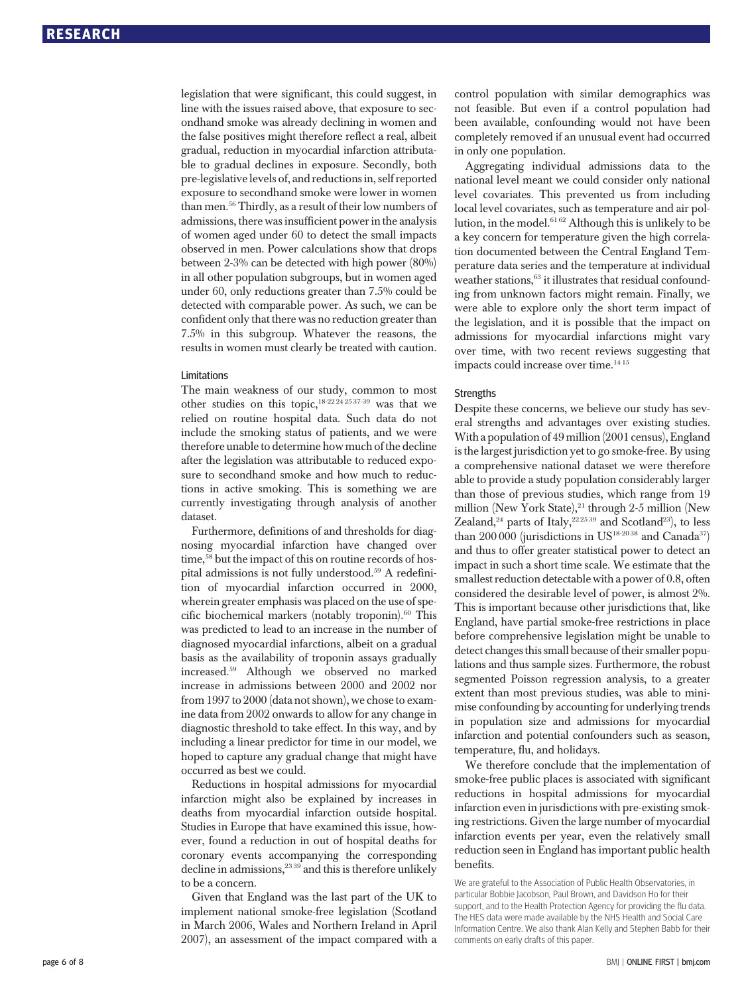legislation that were significant, this could suggest, in line with the issues raised above, that exposure to secondhand smoke was already declining in women and the false positives might therefore reflect a real, albeit gradual, reduction in myocardial infarction attributable to gradual declines in exposure. Secondly, both pre-legislative levels of, and reductions in, self reported exposure to secondhand smoke were lower in women than men.56 Thirdly, as a result of their low numbers of admissions, there was insufficient power in the analysis of women aged under 60 to detect the small impacts observed in men. Power calculations show that drops between 2-3% can be detected with high power (80%) in all other population subgroups, but in women aged under 60, only reductions greater than 7.5% could be detected with comparable power. As such, we can be confident only that there was no reduction greater than 7.5% in this subgroup. Whatever the reasons, the results in women must clearly be treated with caution.

#### Limitations

The main weakness of our study, common to most other studies on this topic, $18-222+2537-39$  was that we relied on routine hospital data. Such data do not include the smoking status of patients, and we were therefore unable to determine how much of the decline after the legislation was attributable to reduced exposure to secondhand smoke and how much to reductions in active smoking. This is something we are currently investigating through analysis of another dataset.

Furthermore, definitions of and thresholds for diagnosing myocardial infarction have changed over time,<sup>58</sup> but the impact of this on routine records of hospital admissions is not fully understood.<sup>59</sup> A redefinition of myocardial infarction occurred in 2000, wherein greater emphasis was placed on the use of specific biochemical markers (notably troponin). $60$  This was predicted to lead to an increase in the number of diagnosed myocardial infarctions, albeit on a gradual basis as the availability of troponin assays gradually increased.59 Although we observed no marked increase in admissions between 2000 and 2002 nor from 1997 to 2000 (data not shown), we chose to examine data from 2002 onwards to allow for any change in diagnostic threshold to take effect. In this way, and by including a linear predictor for time in our model, we hoped to capture any gradual change that might have occurred as best we could.

Reductions in hospital admissions for myocardial infarction might also be explained by increases in deaths from myocardial infarction outside hospital. Studies in Europe that have examined this issue, however, found a reduction in out of hospital deaths for coronary events accompanying the corresponding decline in admissions,<sup>23 39</sup> and this is therefore unlikely to be a concern.

Given that England was the last part of the UK to implement national smoke-free legislation (Scotland in March 2006, Wales and Northern Ireland in April 2007), an assessment of the impact compared with a control population with similar demographics was not feasible. But even if a control population had been available, confounding would not have been completely removed if an unusual event had occurred in only one population.

Aggregating individual admissions data to the national level meant we could consider only national level covariates. This prevented us from including local level covariates, such as temperature and air pollution, in the model.<sup>6162</sup> Although this is unlikely to be a key concern for temperature given the high correlation documented between the Central England Temperature data series and the temperature at individual weather stations,<sup>63</sup> it illustrates that residual confounding from unknown factors might remain. Finally, we were able to explore only the short term impact of the legislation, and it is possible that the impact on admissions for myocardial infarctions might vary over time, with two recent reviews suggesting that impacts could increase over time.14 15

#### **Strengths**

Despite these concerns, we believe our study has several strengths and advantages over existing studies. With a population of 49 million (2001 census), England is the largest jurisdiction yet to go smoke-free. By using a comprehensive national dataset we were therefore able to provide a study population considerably larger than those of previous studies, which range from 19 million (New York State),<sup>21</sup> through 2-5 million (New Zealand,<sup>24</sup> parts of Italy,<sup>22 25 39</sup> and Scotland<sup>23</sup>), to less than 200 000 (jurisdictions in US<sup>18-2038</sup> and Canada<sup>37</sup>) and thus to offer greater statistical power to detect an impact in such a short time scale. We estimate that the smallest reduction detectable with a power of 0.8, often considered the desirable level of power, is almost 2%. This is important because other jurisdictions that, like England, have partial smoke-free restrictions in place before comprehensive legislation might be unable to detect changes this small because of their smaller populations and thus sample sizes. Furthermore, the robust segmented Poisson regression analysis, to a greater extent than most previous studies, was able to minimise confounding by accounting for underlying trends in population size and admissions for myocardial infarction and potential confounders such as season, temperature, flu, and holidays.

We therefore conclude that the implementation of smoke-free public places is associated with significant reductions in hospital admissions for myocardial infarction even in jurisdictions with pre-existing smoking restrictions. Given the large number of myocardial infarction events per year, even the relatively small reduction seen in England has important public health benefits.

We are grateful to the Association of Public Health Observatories, in particular Bobbie Jacobson, Paul Brown, and Davidson Ho for their support, and to the Health Protection Agency for providing the flu data. The HES data were made available by the NHS Health and Social Care Information Centre. We also thank Alan Kelly and Stephen Babb for their comments on early drafts of this paper.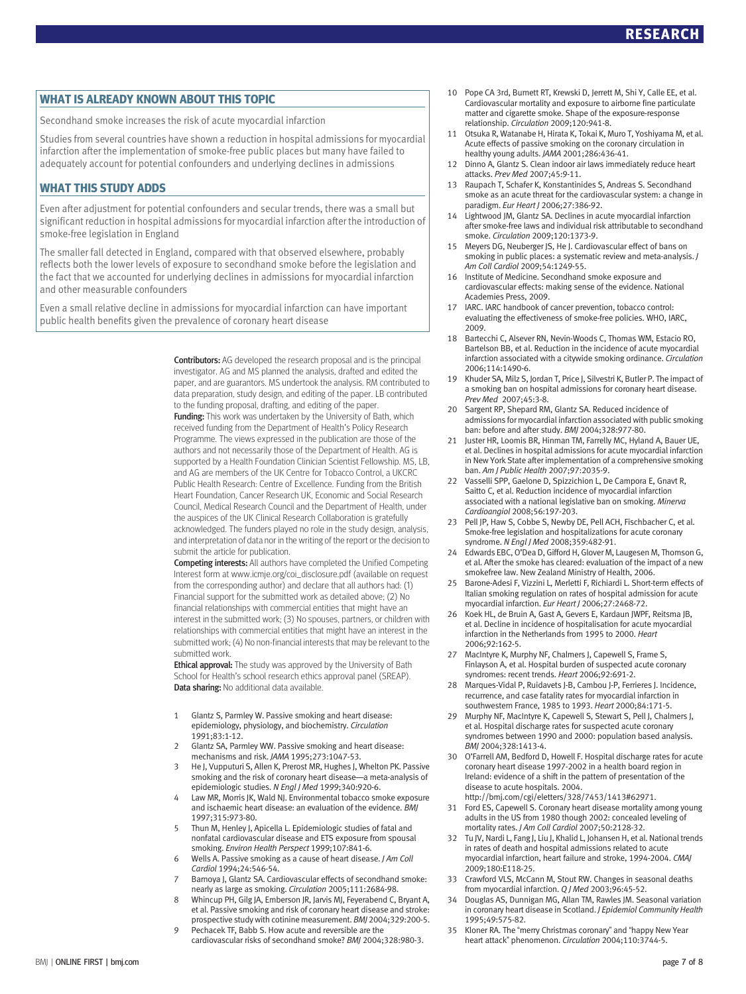WHAT IS ALREADY KNOWN ABOUT THIS TOPIC Secondhand smoke increases the risk of acute myocardial infarction

Studies from several countries have shown a reduction in hospital admissions for myocardial infarction after the implementation of smoke-free public places but many have failed to adequately account for potential confounders and underlying declines in admissions

WHAT THIS STUDY ADDS Even after adjustment for potential confounders and secular trends, there was a small but significant reduction in hospital admissions for myocardial infarction after the introduction of smoke-free legislation in England

The smaller fall detected in England, compared with that observed elsewhere, probably reflects both the lower levels of exposure to secondhand smoke before the legislation and the fact that we accounted for underlying declines in admissions for myocardial infarction and other measurable confounders

Even a small relative decline in admissions for myocardial infarction can have important public health benefits given the prevalence of coronary heart disease

> Contributors: AG developed the research proposal and is the principal investigator. AG and MS planned the analysis, drafted and edited the paper, and are guarantors. MS undertook the analysis. RM contributed to data preparation, study design, and editing of the paper. LB contributed to the funding proposal, drafting, and editing of the paper. Funding: This work was undertaken by the University of Bath, which

> received funding from the Department of Health's Policy Research Programme. The views expressed in the publication are those of the authors and not necessarily those of the Department of Health. AG is supported by a Health Foundation Clinician Scientist Fellowship. MS, LB, and AG are members of the UK Centre for Tobacco Control, a UKCRC Public Health Research: Centre of Excellence. Funding from the British Heart Foundation, Cancer Research UK, Economic and Social Research Council, Medical Research Council and the Department of Health, under the auspices of the UK Clinical Research Collaboration is gratefully acknowledged. The funders played no role in the study design, analysis, and interpretation of data nor in the writing of the report or the decision to submit the article for publication.

> Competing interests: All authors have completed the Unified Competing Interest form at www.icmje.org/coi\_disclosure.pdf (available on request from the corresponding author) and declare that all authors had: (1) Financial support for the submitted work as detailed above; (2) No financial relationships with commercial entities that might have an interest in the submitted work; (3) No spouses, partners, or children with relationships with commercial entities that might have an interest in the submitted work; (4) No non-financial interests that may be relevant to the submitted work.

**Ethical approval:** The study was approved by the University of Bath School for Health's school research ethics approval panel (SREAP). Data sharing: No additional data available.

- 1 Glantz S, Parmley W. Passive smoking and heart disease: epidemiology, physiology, and biochemistry. Circulation 1991;83:1-12.
- 2 Glantz SA, Parmley WW. Passive smoking and heart disease: mechanisms and risk. JAMA 1995;273:1047-53.
- 3 He J, Vupputuri S, Allen K, Prerost MR, Hughes J, Whelton PK. Passive smoking and the risk of coronary heart disease—a meta-analysis of epidemiologic studies. N Engl J Med 1999;340:920-6.
- 4 Law MR, Morris JK, Wald NJ. Environmental tobacco smoke exposure and ischaemic heart disease: an evaluation of the evidence. BMJ 1997;315:973-80.
- 5 Thun M, Henley J, Apicella L. Epidemiologic studies of fatal and nonfatal cardiovascular disease and ETS exposure from spousal smoking. Environ Health Perspect 1999;107:841-6.
- 6 Wells A. Passive smoking as a cause of heart disease. J Am Coll Cardiol 1994;24:546-54.
- 7 Barnoya J, Glantz SA. Cardiovascular effects of secondhand smoke: nearly as large as smoking. Circulation 2005;111:2684-98.
- 8 Whincup PH, Gilg JA, Emberson JR, Jarvis MJ, Feyerabend C, Bryant A, et al. Passive smoking and risk of coronary heart disease and stroke: prospective study with cotinine measurement. BMJ 2004;329:200-5.
- 9 Pechacek TF, Babb S. How acute and reversible are the cardiovascular risks of secondhand smoke? BMJ 2004;328:980-3.
- 10 Pope CA 3rd, Burnett RT, Krewski D, Jerrett M, Shi Y, Calle EE, et al. Cardiovascular mortality and exposure to airborne fine particulate matter and cigarette smoke. Shape of the exposure-response relationship. Circulation 2009;120:941-8.
- 11 Otsuka R, Watanabe H, Hirata K, Tokai K, Muro T, Yoshiyama M, et al. Acute effects of passive smoking on the coronary circulation in healthy young adults. JAMA 2001;286:436-41.
- 12 Dinno A, Glantz S. Clean indoor air laws immediately reduce heart attacks. Prev Med 2007;45:9-11.
- 13 Raupach T, Schafer K, Konstantinides S, Andreas S. Secondhand smoke as an acute threat for the cardiovascular system: a change in paradigm. Eur Heart J 2006;27:386-92.
- 14 Lightwood JM, Glantz SA. Declines in acute myocardial infarction after smoke-free laws and individual risk attributable to secondhand smoke. Circulation 2009;120:1373-9.
- 15 Meyers DG, Neuberger JS, He J. Cardiovascular effect of bans on smoking in public places: a systematic review and meta-analysis. J Am Coll Cardiol 2009;54:1249-55.
- 16 Institute of Medicine. Secondhand smoke exposure and cardiovascular effects: making sense of the evidence. National Academies Press, 2009.
- 17 IARC. IARC handbook of cancer prevention, tobacco control: evaluating the effectiveness of smoke-free policies. WHO, IARC, 2009.
- 18 Bartecchi C, Alsever RN, Nevin-Woods C, Thomas WM, Estacio RO, Bartelson BB, et al. Reduction in the incidence of acute myocardial infarction associated with a citywide smoking ordinance. Circulation 2006;114:1490-6.
- 19 Khuder SA, Milz S, Jordan T, Price J, Silvestri K, Butler P. The impact of a smoking ban on hospital admissions for coronary heart disease. Prev Med 2007;45:3-8.
- 20 Sargent RP, Shepard RM, Glantz SA. Reduced incidence of admissions for myocardial infarction associated with public smoking ban: before and after study. BMJ 2004;328:977-80.
- 21 Juster HR, Loomis BR, Hinman TM, Farrelly MC, Hyland A, Bauer UE, et al. Declines in hospital admissions for acute myocardial infarction in New York State after implementation of a comprehensive smoking ban. Am J Public Health 2007;97:2035-9.
- 22 Vasselli SPP, Gaelone D, Spizzichion L, De Campora E, Gnavt R, Saitto C, et al. Reduction incidence of myocardial infarction associated with a national legislative ban on smoking. Minerva Cardioangiol 2008;56:197-203.
- 23 Pell JP, Haw S, Cobbe S, Newby DE, Pell ACH, Fischbacher C, et al. Smoke-free legislation and hospitalizations for acute coronary syndrome. N Engl J Med 2008;359:482-91.
- 24 Edwards EBC, O'Dea D, Gifford H, Glover M, Laugesen M, Thomson G, et al. After the smoke has cleared: evaluation of the impact of a new smokefree law. New Zealand Ministry of Health, 2006.
- 25 Barone-Adesi F, Vizzini L, Merletti F, Richiardi L. Short-term effects of Italian smoking regulation on rates of hospital admission for acute myocardial infarction. Eur Heart J 2006;27:2468-72.
- 26 Koek HL, de Bruin A, Gast A, Gevers E, Kardaun JWPF, Reitsma JB, et al. Decline in incidence of hospitalisation for acute myocardial infarction in the Netherlands from 1995 to 2000. Heart 2006;92:162-5.
- 27 MacIntyre K, Murphy NF, Chalmers J, Capewell S, Frame S, Finlayson A, et al. Hospital burden of suspected acute coronary syndromes: recent trends. Heart 2006;92:691-2.
- 28 Marques-Vidal P, Ruidavets J-B, Cambou J-P, Ferrieres J. Incidence, recurrence, and case fatality rates for myocardial infarction in southwestern France, 1985 to 1993. Heart 2000;84:171-5.
- 29 Murphy NF, MacIntyre K, Capewell S, Stewart S, Pell J, Chalmers J, et al. Hospital discharge rates for suspected acute coronary syndromes between 1990 and 2000: population based analysis. BMJ 2004;328:1413-4.
- 30 O'Farrell AM, Bedford D, Howell F. Hospital discharge rates for acute coronary heart disease 1997-2002 in a health board region in Ireland: evidence of a shift in the pattern of presentation of the disease to acute hospitals. 2004. http://bmj.com/cgi/eletters/328/7453/1413#62971.
- 31 Ford ES, Capewell S. Coronary heart disease mortality among young adults in the US from 1980 though 2002: concealed leveling of mortality rates. J Am Coll Cardiol 2007;50:2128-32.
- 32 Tu JV, Nardi L, Fang J, Liu J, Khalid L, Johansen H, et al. National trends in rates of death and hospital admissions related to acute myocardial infarction, heart failure and stroke, 1994-2004. CMAJ 2009;180:E118-25.
- 33 Crawford VLS, McCann M, Stout RW. Changes in seasonal deaths from myocardial infarction. Q J Med 2003;96:45-52.
- 34 Douglas AS, Dunnigan MG, Allan TM, Rawles JM. Seasonal variation in coronary heart disease in Scotland. *I Epidemiol Community Health* 1995;49:575-82.
- 35 Kloner RA. The "merry Christmas coronary" and "happy New Year heart attack" phenomenon. Circulation 2004;110:3744-5.